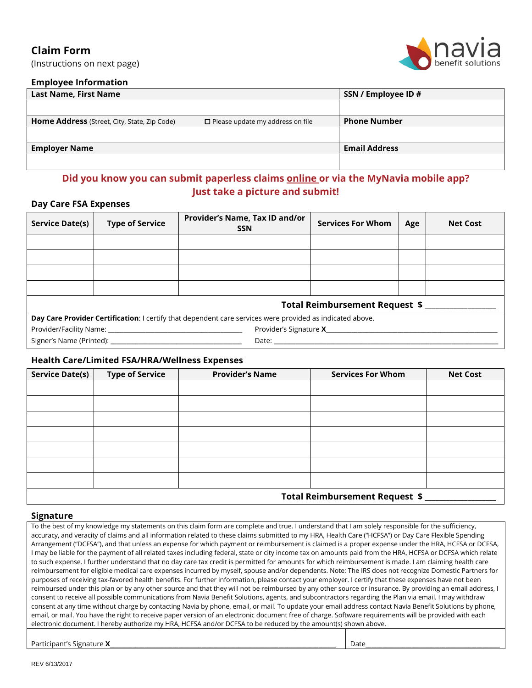# **Claim Form**

(Instructions on next page)



# **Employee Information**

| <b>Last Name, First Name</b>                 |                                         | SSN / Employee ID #  |
|----------------------------------------------|-----------------------------------------|----------------------|
|                                              |                                         |                      |
| Home Address (Street, City, State, Zip Code) | $\Box$ Please update my address on file | <b>Phone Number</b>  |
|                                              |                                         |                      |
| <b>Employer Name</b>                         |                                         | <b>Email Address</b> |
|                                              |                                         |                      |

# **Did you know you can submit paperless claims [online o](https://portal.naviabenefits.com/Part/logon.aspx)r via the MyNavia mobile app? Just take a picture and submit!**

# **Day Care FSA Expenses**

| Service Date(s)                                                                                           | <b>Type of Service</b>                                      | Provider's Name, Tax ID and/or<br><b>SSN</b> | <b>Services For Whom</b> | Age | <b>Net Cost</b> |  |
|-----------------------------------------------------------------------------------------------------------|-------------------------------------------------------------|----------------------------------------------|--------------------------|-----|-----------------|--|
|                                                                                                           |                                                             |                                              |                          |     |                 |  |
|                                                                                                           |                                                             |                                              |                          |     |                 |  |
|                                                                                                           |                                                             |                                              |                          |     |                 |  |
|                                                                                                           |                                                             |                                              |                          |     |                 |  |
| Total Reimbursement Request \$                                                                            |                                                             |                                              |                          |     |                 |  |
| Day Care Provider Certification: I certify that dependent care services were provided as indicated above. |                                                             |                                              |                          |     |                 |  |
|                                                                                                           | Provider's Signature <b>X</b> Provider's Signature <b>X</b> |                                              |                          |     |                 |  |
|                                                                                                           |                                                             |                                              |                          |     |                 |  |

# **Health Care/Limited FSA/HRA/Wellness Expenses**

| <b>Service Date(s)</b>         | <b>Type of Service</b> | <b>Provider's Name</b> | <b>Services For Whom</b> | <b>Net Cost</b> |
|--------------------------------|------------------------|------------------------|--------------------------|-----------------|
|                                |                        |                        |                          |                 |
|                                |                        |                        |                          |                 |
|                                |                        |                        |                          |                 |
|                                |                        |                        |                          |                 |
|                                |                        |                        |                          |                 |
|                                |                        |                        |                          |                 |
|                                |                        |                        |                          |                 |
| Total Reimbursement Request \$ |                        |                        |                          |                 |

#### **Signature**

To the best of my knowledge my statements on this claim form are complete and true. I understand that I am solely responsible for the sufficiency, accuracy, and veracity of claims and all information related to these claims submitted to my HRA, Health Care ("HCFSA") or Day Care Flexible Spending Arrangement ("DCFSA"), and that unless an expense for which payment or reimbursement is claimed is a proper expense under the HRA, HCFSA or DCFSA, I may be liable for the payment of all related taxes including federal, state or city income tax on amounts paid from the HRA, HCFSA or DCFSA which relate to such expense. I further understand that no day care tax credit is permitted for amounts for which reimbursement is made. I am claiming health care reimbursement for eligible medical care expenses incurred by myself, spouse and/or dependents. Note: The IRS does not recognize Domestic Partners for purposes of receiving tax-favored health benefits. For further information, please contact your employer. I certify that these expenses have not been reimbursed under this plan or by any other source and that they will not be reimbursed by any other source or insurance. By providing an email address, I consent to receive all possible communications from Navia Benefit Solutions, agents, and subcontractors regarding the Plan via email. I may withdraw consent at any time without charge by contacting Navia by phone, email, or mail. To update your email address contact Navia Benefit Solutions by phone, email, or mail. You have the right to receive paper version of an electronic document free of charge. Software requirements will be provided with each electronic document. I hereby authorize my HRA, HCFSA and/or DCFSA to be reduced by the amount(s) shown above.

| Part<br>Signature<br>.cipant'<br>LUI C. A | Date |
|-------------------------------------------|------|
|                                           |      |